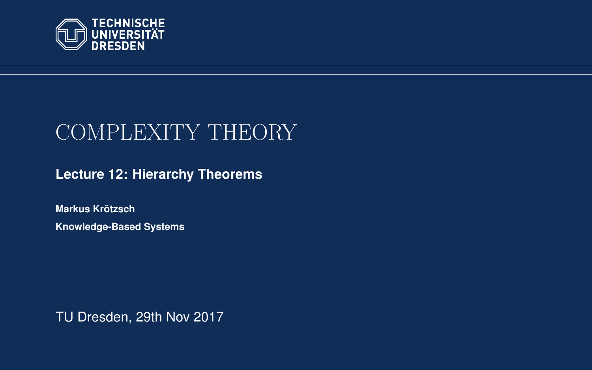<span id="page-0-0"></span>

# COMPLEXITY THEORY

**[Lecture 12: Hierarchy Theorems](https://iccl.inf.tu-dresden.de/web/Complexity_Theory_(WS2017/18))**

**[Markus Krotzsch](https://iccl.inf.tu-dresden.de/web/Markus_Kr%C3%B6tzsch/en) ¨ Knowledge-Based Systems**

TU Dresden, 29th Nov 2017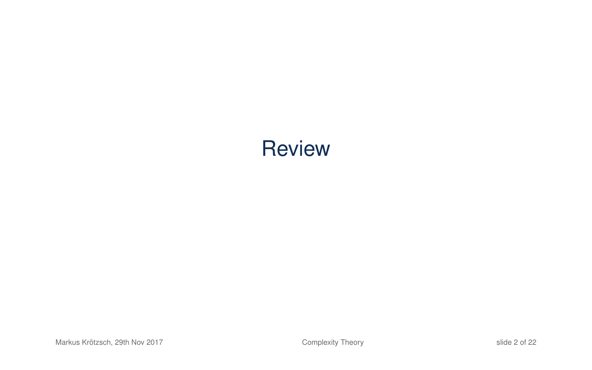# **Review**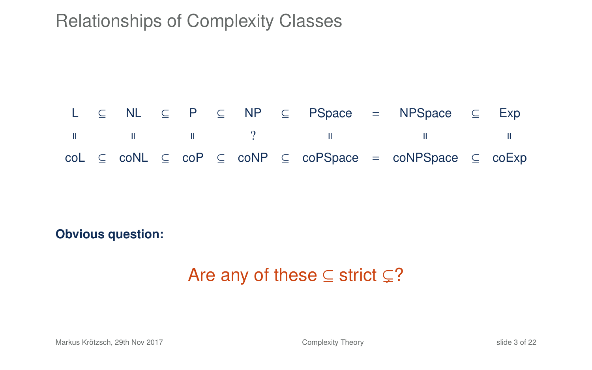

**Obvious question:**

### Are any of these  $\subseteq$  strict  $\subseteq$ ?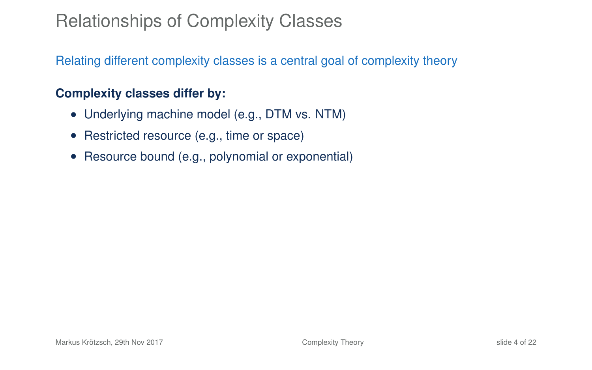Relating different complexity classes is a central goal of complexity theory

#### **Complexity classes differ by:**

- Underlying machine model (e.g., DTM vs. NTM)
- Restricted resource (e.g., time or space)
- Resource bound (e.g., polynomial or exponential)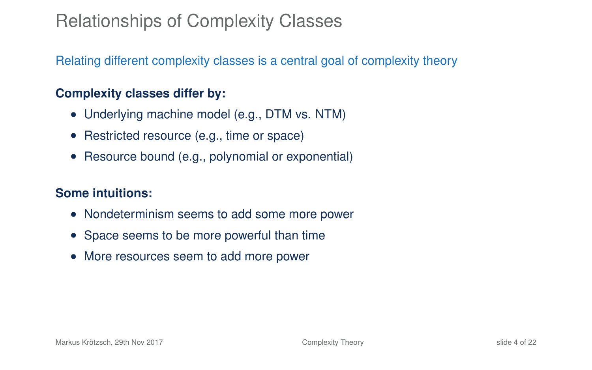Relating different complexity classes is a central goal of complexity theory

#### **Complexity classes differ by:**

- Underlying machine model (e.g., DTM vs. NTM)
- Restricted resource (e.g., time or space)
- Resource bound (e.g., polynomial or exponential)

#### **Some intuitions:**

- Nondeterminism seems to add some more power
- Space seems to be more powerful than time
- More resources seem to add more power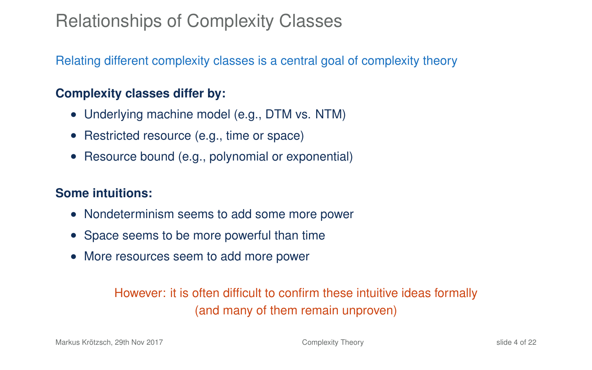Relating different complexity classes is a central goal of complexity theory

#### **Complexity classes differ by:**

- Underlying machine model (e.g., DTM vs. NTM)
- Restricted resource (e.g., time or space)
- Resource bound (e.g., polynomial or exponential)

#### **Some intuitions:**

- Nondeterminism seems to add some more power
- Space seems to be more powerful than time
- More resources seem to add more power

#### However: it is often difficult to confirm these intuitive ideas formally (and many of them remain unproven)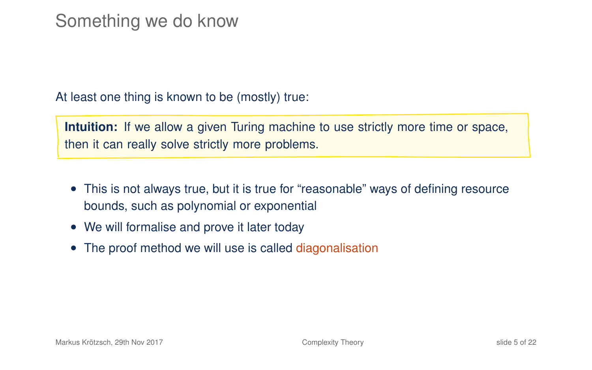#### Something we do know

At least one thing is known to be (mostly) true:

**Intuition:** If we allow a given Turing machine to use strictly more time or space, then it can really solve strictly more problems.

- This is not always true, but it is true for "reasonable" ways of defining resource bounds, such as polynomial or exponential
- We will formalise and prove it later today
- The proof method we will use is called diagonalisation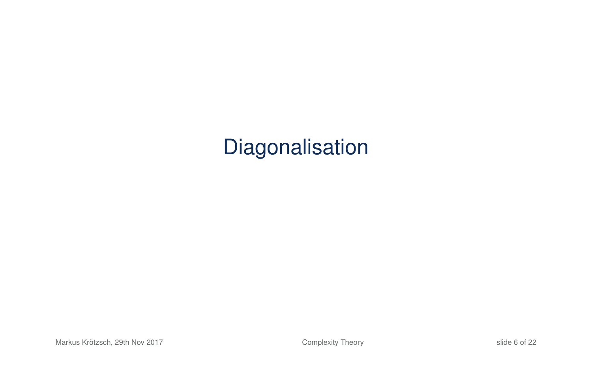# Diagonalisation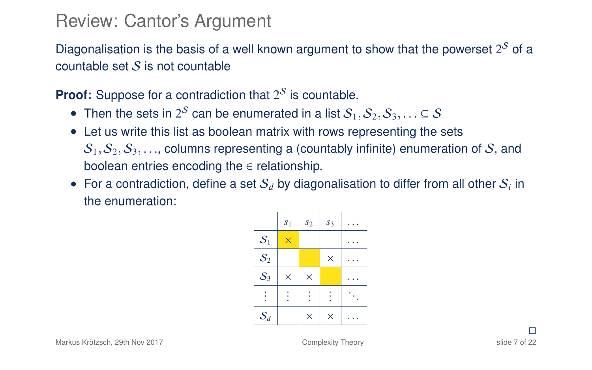#### Review: Cantor's Argument

Diagonalisation is the basis of a well known argument to show that the powerset  $2^{\mathcal{S}}$  of a countable set  $S$  is not countable

**Proof:** Suppose for a contradiction that  $2^{\mathcal{S}}$  is countable.

- Then the sets in 2<sup>S</sup> can be enumerated in a list  $S_1, S_2, S_3, \ldots \subseteq S$ <br>called up write this list as boolean matrix with rows representing the
- Let us write this list as boolean matrix with rows representing the sets  $S_1, S_2, S_3, \ldots$  columns representing a (countably infinite) enumeration of S, and boolean entries encoding the  $\in$  relationship.
- For a contradiction, define a set  $S_d$  by diagonalisation to differ from all other  $S_i$  in the enumeration:

|       | s <sub>1</sub> | s <sub>2</sub> | s <sub>3</sub> |  |
|-------|----------------|----------------|----------------|--|
| $S_1$ | $\times$       |                |                |  |
| $S_2$ |                |                | $\times$       |  |
| $S_3$ | $\times$       | $\times$       |                |  |
|       |                |                |                |  |
| $S_d$ |                | $\times$       | $\times$       |  |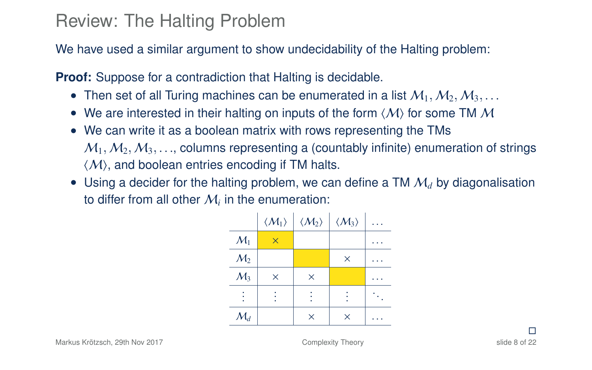#### Review: The Halting Problem

We have used a similar argument to show undecidability of the Halting problem:

**Proof:** Suppose for a contradiction that Halting is decidable.

- Then set of all Turing machines can be enumerated in a list  $M_1, M_2, M_3, \ldots$
- We are interested in their halting on inputs of the form  $\langle M \rangle$  for some TM M
- We can write it as a boolean matrix with rows representing the TMs  $M_1, M_2, M_3, \ldots$  columns representing a (countably infinite) enumeration of strings  $\langle \mathcal{M} \rangle$ , and boolean entries encoding if TM halts.
- Using a decider for the halting problem, we can define a TM  $M_d$  by diagonalisation to differ from all other  $\mathcal{M}_i$  in the enumeration:

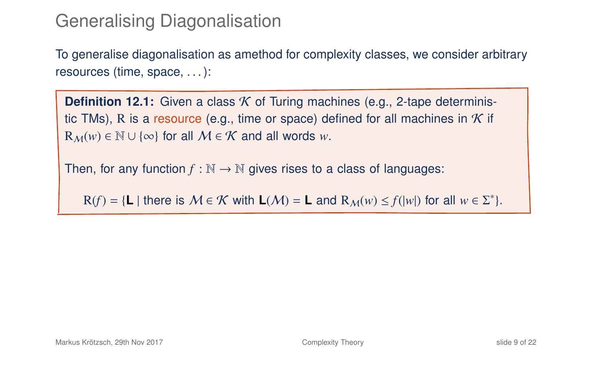#### Generalising Diagonalisation

To generalise diagonalisation as amethod for complexity classes, we consider arbitrary resources (time, space, . . . ):

**Definition 12.1:** Given a class *K* of Turing machines (e.g., 2-tape deterministic TMs), R is a resource (e.g., time or space) defined for all machines in  $K$  if  $R_M(w) \in \mathbb{N} \cup \{\infty\}$  for all  $M \in \mathcal{K}$  and all words *w*.

Then, for any function  $f : \mathbb{N} \to \mathbb{N}$  gives rises to a class of languages:

 $R(f) = \{ L | \text{ there is } M \in \mathcal{K} \text{ with } L(\mathcal{M}) = L \text{ and } R_{\mathcal{M}}(w) \leq f(|w|) \text{ for all } w \in \Sigma^* \}.$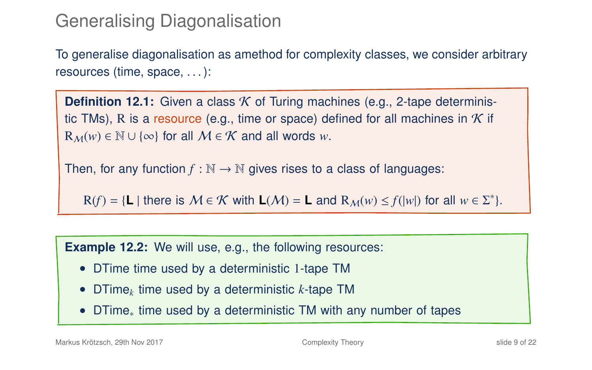### Generalising Diagonalisation

To generalise diagonalisation as amethod for complexity classes, we consider arbitrary resources (time, space, . . . ):

**Definition 12.1:** Given a class *K* of Turing machines (e.g., 2-tape deterministic TMs), R is a resource (e.g., time or space) defined for all machines in  $K$  if  $R_M(w) \in \mathbb{N} \cup \{\infty\}$  for all  $M \in \mathcal{K}$  and all words *w*.

Then, for any function  $f : \mathbb{N} \to \mathbb{N}$  gives rises to a class of languages:

 $R(f) = \{ L | \text{ there is } M \in \mathcal{K} \text{ with } L(\mathcal{M}) = L \text{ and } R_{\mathcal{M}}(w) \leq f(|w|) \text{ for all } w \in \Sigma^* \}.$ 

**Example 12.2:** We will use, e.g., the following resources:

- DTime time used by a deterministic 1-tape TM
- DTime*<sup>k</sup>* time used by a deterministic *k*-tape TM
- DTime<sup>∗</sup> time used by a deterministic TM with any number of tapes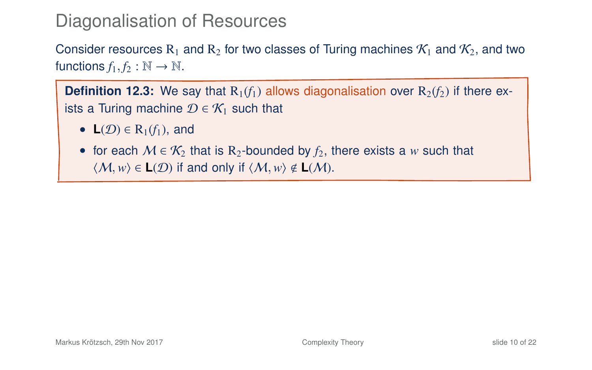Consider resources R<sub>1</sub> and R<sub>2</sub> for two classes of Turing machines  $\mathcal{K}_1$  and  $\mathcal{K}_2$ , and two functions  $f_1, f_2 : \mathbb{N} \to \mathbb{N}$ .

**Definition 12.3:** We say that  $R_1(f_1)$  allows diagonalisation over  $R_2(f_2)$  if there exists a Turing machine  $\mathcal{D} \in \mathcal{K}_1$  such that

- <span id="page-12-0"></span>• **L** $(\mathcal{D}) \in R_1(f_1)$ , and
- <span id="page-12-1"></span>• for each  $M \in \mathcal{K}_2$  that is R<sub>2</sub>-bounded by  $f_2$ , there exists a *w* such that  $\langle M, w \rangle \in L(\mathcal{D})$  if and only if  $\langle M, w \rangle \notin L(\mathcal{M})$ .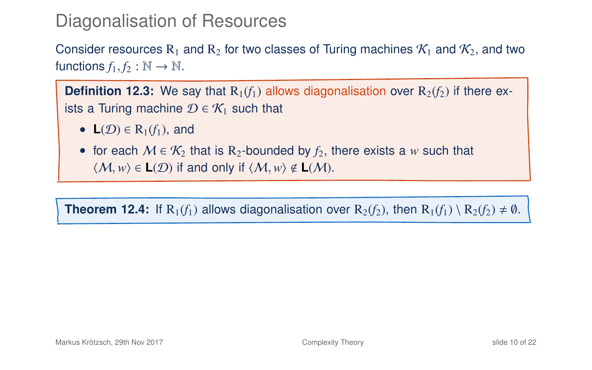Consider resources R<sub>1</sub> and R<sub>2</sub> for two classes of Turing machines  $\mathcal{K}_1$  and  $\mathcal{K}_2$ , and two functions  $f_1, f_2 : \mathbb{N} \to \mathbb{N}$ .

**Definition 12.3:** We say that  $R_1(f_1)$  allows diagonalisation over  $R_2(f_2)$  if there exists a Turing machine  $\mathcal{D} \in \mathcal{K}_1$  such that

• **L** $(D) \in R_1(f_1)$ , and

• for each  $M \in \mathcal{K}_2$  that is R<sub>2</sub>-bounded by  $f_2$ , there exists a *w* such that  $\langle M, w \rangle$  ∈ **L**(*D*) if and only if  $\langle M, w \rangle$  ∉ **L**(*M*).

**Theorem 12.4:** If  $R_1(f_1)$  allows diagonalisation over  $R_2(f_2)$ , then  $R_1(f_1) \setminus R_2(f_2) \neq \emptyset$ .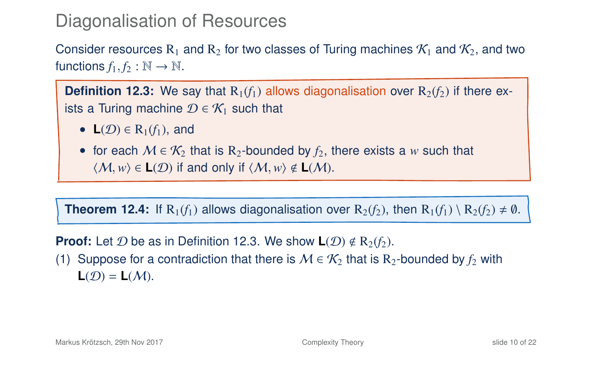Consider resources R<sub>1</sub> and R<sub>2</sub> for two classes of Turing machines  $\mathcal{K}_1$  and  $\mathcal{K}_2$ , and two functions  $f_1, f_2 : \mathbb{N} \to \mathbb{N}$ .

**Definition 12.3:** We say that  $R_1(f_1)$  allows diagonalisation over  $R_2(f_2)$  if there exists a Turing machine  $\mathcal{D} \in \mathcal{K}_1$  such that

• **L** $(\mathcal{D}) \in R_1(f_1)$ , and

• for each  $M \in \mathcal{K}_2$  that is R<sub>2</sub>-bounded by  $f_2$ , there exists a *w* such that  $\langle M, w \rangle \in L(\mathcal{D})$  if and only if  $\langle M, w \rangle \notin L(\mathcal{M})$ .

**Theorem 12.4:** If  $R_1(f_1)$  allows diagonalisation over  $R_2(f_2)$ , then  $R_1(f_1) \setminus R_2(f_2) \neq \emptyset$ .

**Proof:** Let  $D$  be as in Definition 12[.3.](#page-12-0) We show  $L(D) \notin R_2(f_2)$ .

(1) Suppose for a contradiction that there is  $M \in \mathcal{K}_2$  that is R<sub>2</sub>-bounded by  $f_2$  with  $L(D) = L(M)$ .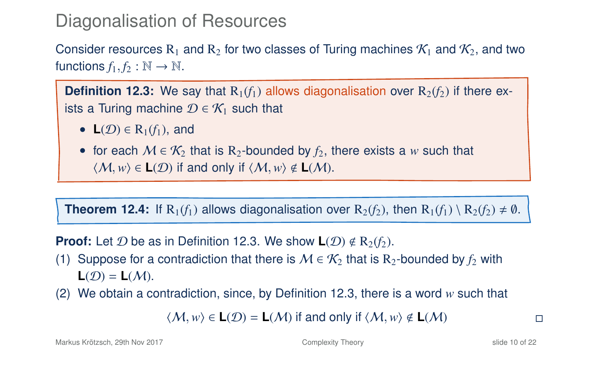Consider resources R<sub>1</sub> and R<sub>2</sub> for two classes of Turing machines  $K_1$  and  $K_2$ , and two functions  $f_1, f_2 : \mathbb{N} \to \mathbb{N}$ .

**Definition 12.3:** We say that  $R_1(f_1)$  allows diagonalisation over  $R_2(f_2)$  if there exists a Turing machine  $\mathcal{D} \in \mathcal{K}_1$  such that

- **L** $(D) \in R_1(f_1)$ , and
- for each  $M \in \mathcal{K}_2$  that is R<sub>2</sub>-bounded by  $f_2$ , there exists a *w* such that  $\langle M, w \rangle \in L(\mathcal{D})$  if and only if  $\langle M, w \rangle \notin L(\mathcal{M})$ .

**Theorem 12.4:** If  $R_1(f_1)$  allows diagonalisation over  $R_2(f_2)$ , then  $R_1(f_1) \setminus R_2(f_2) \neq \emptyset$ .

**Proof:** Let  $D$  be as in Definition 12[.3.](#page-12-0) We show  $L(D) \notin R_2(f_2)$ .

- (1) Suppose for a contradiction that there is  $M \in \mathcal{K}_2$  that is R<sub>2</sub>-bounded by  $f_2$  with  $L(D) = L(M)$ .
- (2) We obtain a contradiction, since, by Definition 12[.3,](#page-12-0) there is a word *w* such that

 $\langle M, w \rangle$  ∈ **L**( $\mathcal{D}$ ) = **L**( $\mathcal{M}$ ) if and only if  $\langle M, w \rangle$  ∉ **L**( $\mathcal{M}$ )  $\Box$ 

Markus Krötzsch, 29th Nov 2017 [Complexity Theory](#page-0-0) slide 10 of 22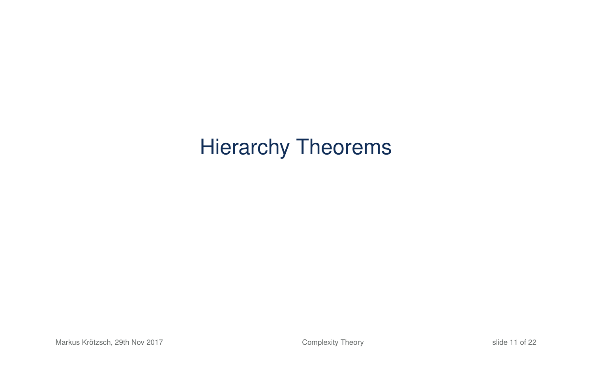# Hierarchy Theorems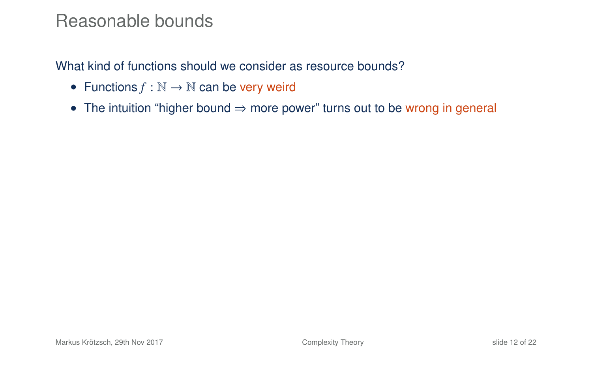#### Reasonable bounds

What kind of functions should we consider as resource bounds?

- Functions  $f : \mathbb{N} \to \mathbb{N}$  can be very weird
- The intuition "higher bound ⇒ more power" turns out to be wrong in general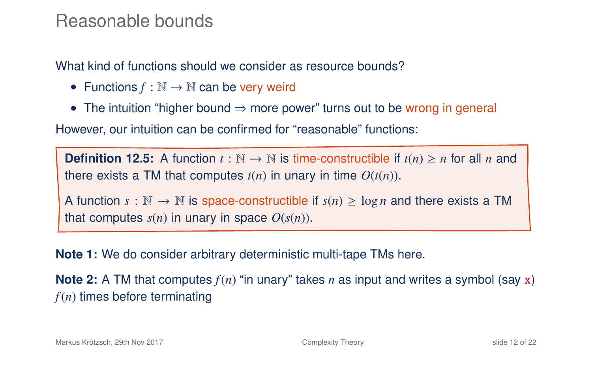#### Reasonable bounds

What kind of functions should we consider as resource bounds?

- Functions  $f : \mathbb{N} \to \mathbb{N}$  can be very weird
- The intuition "higher bound ⇒ more power" turns out to be wrong in general

However, our intuition can be confirmed for "reasonable" functions:

**Definition 12.5:** A function  $t : \mathbb{N} \to \mathbb{N}$  is time-constructible if  $t(n) \geq n$  for all *n* and there exists a TM that computes  $t(n)$  in unary in time  $O(t(n))$ .

A function  $s : \mathbb{N} \to \mathbb{N}$  is space-constructible if  $s(n) \geq \log n$  and there exists a TM that computes  $s(n)$  in unary in space  $O(s(n))$ .

**Note 1:** We do consider arbitrary deterministic multi-tape TMs here.

**Note 2:** A TM that computes *f*(*n*) "in unary" takes *n* as input and writes a symbol (say x) *f*(*n*) times before terminating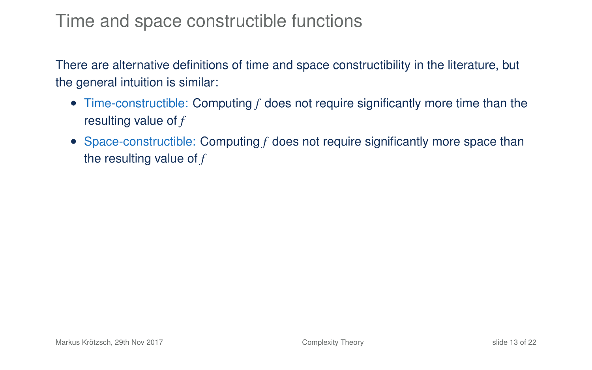#### Time and space constructible functions

There are alternative definitions of time and space constructibility in the literature, but the general intuition is similar:

- Time-constructible: Computing *f* does not require significantly more time than the resulting value of *f*
- Space-constructible: Computing f does not require significantly more space than the resulting value of *f*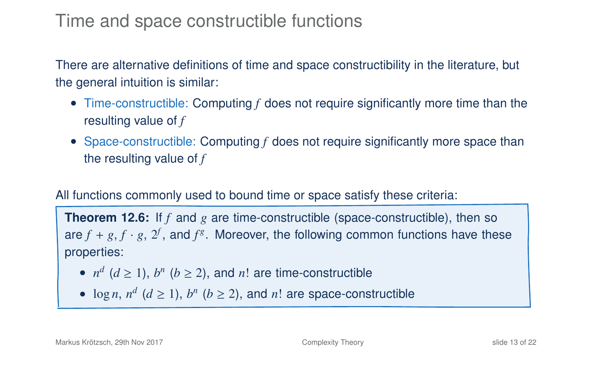#### Time and space constructible functions

There are alternative definitions of time and space constructibility in the literature, but the general intuition is similar:

- Time-constructible: Computing *f* does not require significantly more time than the resulting value of *f*
- Space-constructible: Computing f does not require significantly more space than the resulting value of *f*

#### All functions commonly used to bound time or space satisfy these criteria:

**Theorem 12.6:** If *f* and *g* are time-constructible (space-constructible), then so are  $f + g$ ,  $f \cdot g$ ,  $2^f$ , and  $f^g$ . Moreover, the following common functions have these properties:

- $n^d$  ( $d \ge 1$ ),  $b^n$  ( $b \ge 2$ ), and  $n!$  are time-constructible
- $\log n$ ,  $n^d$  ( $d \ge 1$ ),  $b^n$  ( $b \ge 2$ ), and  $n!$  are space-constructible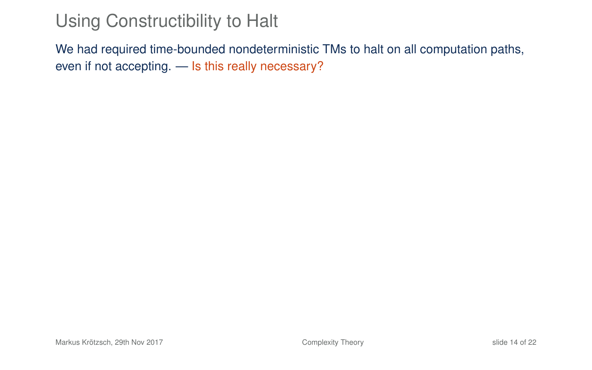## Using Constructibility to Halt

<span id="page-21-0"></span>We had required time-bounded nondeterministic TMs to halt on all computation paths, even if not accepting. — Is this really necessary?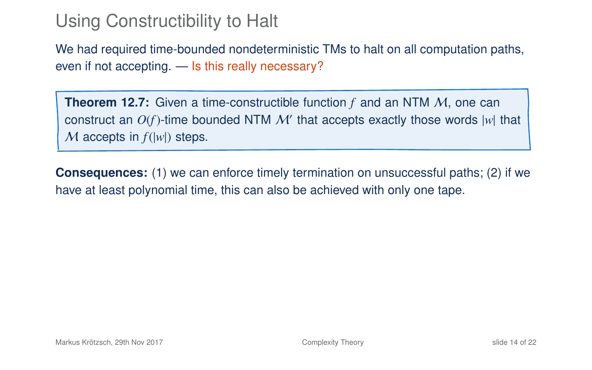## Using Constructibility to Halt

We had required time-bounded nondeterministic TMs to halt on all computation paths, even if not accepting. — Is this really necessary?

**Theorem 12.7:** Given a time-constructible function f and an NTM M, one can construct an  $O(f)$ -time bounded NTM  $\mathcal{M}'$  that accepts exactly those words  $|w|$  that M accepts in  $f(|w|)$  steps.

**Consequences:** (1) we can enforce timely termination on unsuccessful paths; (2) if we have at least polynomial time, this can also be achieved with only one tape.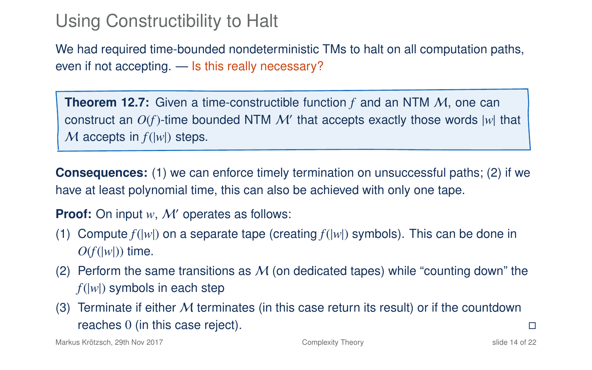## Using Constructibility to Halt

We had required time-bounded nondeterministic TMs to halt on all computation paths, even if not accepting. — Is this really necessary?

**Theorem 12.7:** Given a time-constructible function *f* and an NTM M, one can construct an  $O(f)$ -time bounded NTM  $\mathcal{M}'$  that accepts exactly those words  $|w|$  that M accepts in  $f(|w|)$  steps.

**Consequences:** (1) we can enforce timely termination on unsuccessful paths; (2) if we have at least polynomial time, this can also be achieved with only one tape.

**Proof:** On input *w*, *M'* operates as follows:

- (1) Compute *f*(|*w*|) on a separate tape (creating *f*(|*w*|) symbols). This can be done in  $O(f(|w|))$  time.
- (2) Perform the same transitions as  $M$  (on dedicated tapes) while "counting down" the *f*(|*w*|) symbols in each step
- (3) Terminate if either  $M$  terminates (in this case return its result) or if the countdown reaches 0 (in this case reject).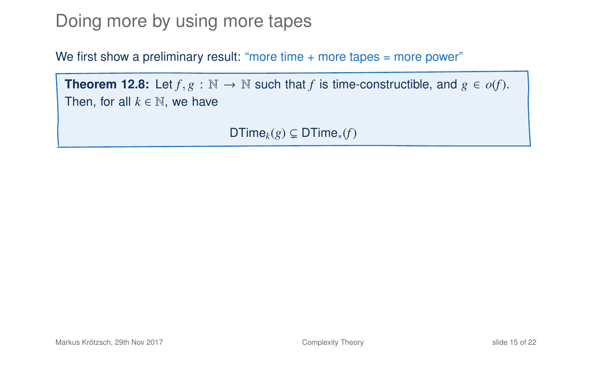#### Doing more by using more tapes

We first show a preliminary result: "more time + more tapes = more power"

**Theorem 12.8:** Let  $f, g : \mathbb{N} \to \mathbb{N}$  such that  $f$  is time-constructible, and  $g \in o(f)$ . Then, for all  $k \in \mathbb{N}$ , we have

<span id="page-24-0"></span> $DTime<sub>k</sub>(g) \subseteq DTime<sub>*</sub>(f)$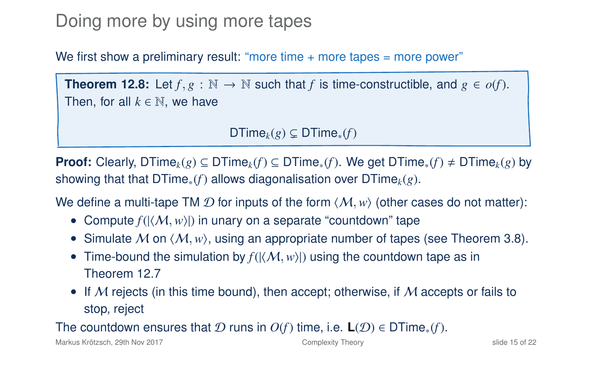### Doing more by using more tapes

We first show a preliminary result: "more time  $+$  more tapes  $=$  more power"

**Theorem 12.8:** Let  $f, g : \mathbb{N} \to \mathbb{N}$  such that  $f$  is time-constructible, and  $g \in o(f)$ . Then, for all  $k \in \mathbb{N}$ , we have

 $DTime<sub>k</sub>(g) \subseteq DTime<sub>*</sub>(f)$ 

**Proof:** Clearly, DTime<sub>k</sub>(*g*) ⊆ DTime<sub>k</sub>(*f*) ⊆ DTime<sub>\*</sub>(*f*). We get DTime<sub>\*</sub>(*f*) ≠ DTime<sub>k</sub>(*g*) by showing that that DTime∗(*f*) allows diagonalisation over DTime*k*(*g*).

We define a multi-tape TM  $\mathcal D$  for inputs of the form  $\langle \mathcal M, w \rangle$  (other cases do not matter):

- Compute  $f(|\langle M, w \rangle|)$  in unary on a separate "countdown" tape
- Simulate M on  $\langle M, w \rangle$ , using an appropriate number of tapes (see Theorem 3.8).
- Time-bound the simulation by  $f(|\langle M, w \rangle|)$  using the countdown tape as in Theorem 12[.7](#page-21-0)
- If M rejects (in this time bound), then accept; otherwise, if M accepts or fails to stop, reject

The countdown ensures that  $D$  runs in  $O(f)$  time, i.e.  $\mathsf{L}(\mathcal{D}) \in \mathsf{DTime}_*(f)$ .

Markus Krötzsch, 29th Nov 2017 [Complexity Theory](#page-0-0) slide 15 of 22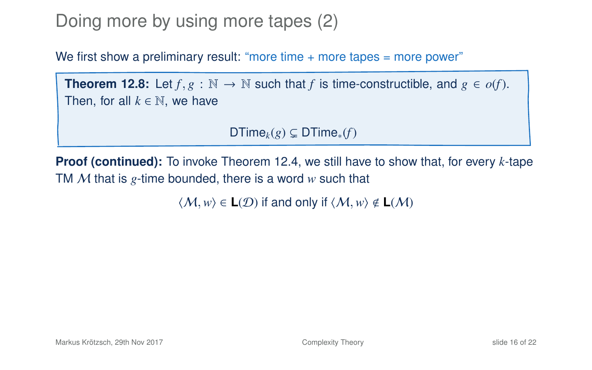## Doing more by using more tapes (2)

We first show a preliminary result: "more time  $+$  more tapes  $=$  more power"

**Theorem 12[.8:](#page-24-0)** Let  $f, g : \mathbb{N} \to \mathbb{N}$  such that *f* is time-constructible, and  $g \in o(f)$ . Then, for all  $k \in \mathbb{N}$ , we have

DTime<sub>k</sub> $(g) \subsetneq$  DTime<sub>\*</sub> $(f)$ 

**Proof (continued):** To invoke Theorem 12[.4,](#page-12-1) we still have to show that, for every *k*-tape TM M that is *g*-time bounded, there is a word *w* such that

 $\langle M, w \rangle \in L(\mathcal{D})$  if and only if  $\langle M, w \rangle \notin L(\mathcal{M})$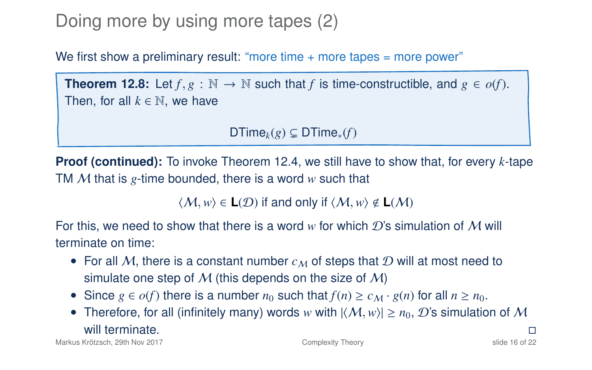## Doing more by using more tapes (2)

We first show a preliminary result: "more time  $+$  more tapes  $=$  more power"

**Theorem 12[.8:](#page-24-0)** Let  $f, g : \mathbb{N} \to \mathbb{N}$  such that  $f$  is time-constructible, and  $g \in o(f)$ . Then, for all  $k \in \mathbb{N}$ , we have

DTime<sub>k</sub> $(g) \subsetneq$  DTime<sub>\*</sub> $(f)$ 

**Proof (continued):** To invoke Theorem 12[.4,](#page-12-1) we still have to show that, for every *k*-tape TM M that is *g*-time bounded, there is a word *w* such that

 $\langle M, w \rangle \in L(\mathcal{D})$  if and only if  $\langle M, w \rangle \notin L(\mathcal{M})$ 

For this, we need to show that there is a word w for which D's simulation of M will terminate on time:

- For all M, there is a constant number  $c_M$  of steps that D will at most need to simulate one step of M (this depends on the size of M)
- Since  $g \in o(f)$  there is a number  $n_0$  such that  $f(n) \ge c_M \cdot g(n)$  for all  $n \ge n_0$ .
- Therefore, for all (infinitely many) words *w* with  $|\langle M, w \rangle| \ge n_0$ , D's simulation of M will terminate. will terminate.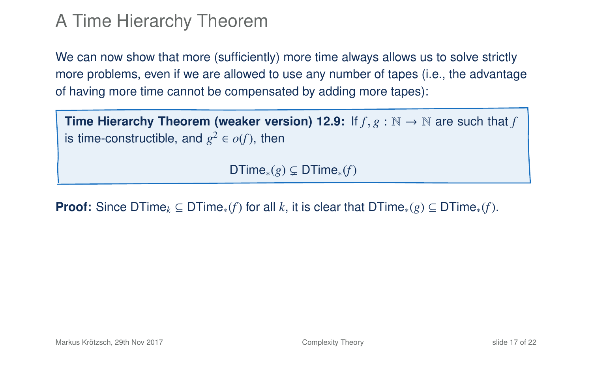#### A Time Hierarchy Theorem

We can now show that more (sufficiently) more time always allows us to solve strictly more problems, even if we are allowed to use any number of tapes (i.e., the advantage of having more time cannot be compensated by adding more tapes):

**Time Hierarchy Theorem (weaker version) 12.9:** If  $f$ ,  $g : \mathbb{N} \to \mathbb{N}$  are such that  $f$ is time-constructible, and  $g^2 \in o(f)$ , then

DTime<sub>\*</sub> $(g) \subseteq$  DTime<sub>\*</sub> $(f)$ 

**Proof:** Since DTime<sub>k</sub> ⊆ DTime<sub>\*</sub>(*f*) for all *k*, it is clear that DTime<sub>\*</sub>(*g*) ⊆ DTime<sub>\*</sub>(*f*).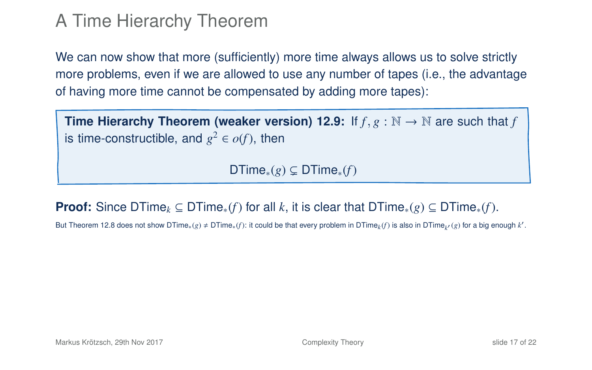#### A Time Hierarchy Theorem

We can now show that more (sufficiently) more time always allows us to solve strictly more problems, even if we are allowed to use any number of tapes (i.e., the advantage of having more time cannot be compensated by adding more tapes):

**Time Hierarchy Theorem (weaker version) 12.9:** If  $f$ ,  $g : \mathbb{N} \to \mathbb{N}$  are such that  $f$ is time-constructible, and  $g^2 \in o(f)$ , then

DTime<sub>\*</sub> $(g) \subseteq$  DTime<sub>\*</sub> $(f)$ 

**Proof:** Since DTime<sub>k</sub> ⊆ DTime<sub>\*</sub>(*f*) for all *k*, it is clear that DTime<sub>\*</sub>(*g*) ⊆ DTime<sub>\*</sub>(*f*).

But Theorem 12[.8](#page-24-0) does not show DTime $_*(g) \neq \text{DTime}_*(f)$ : it could be that every problem in DTime $_k f$ ) is also in DTime $_{k'}(g)$  for a big enough  $k'$ .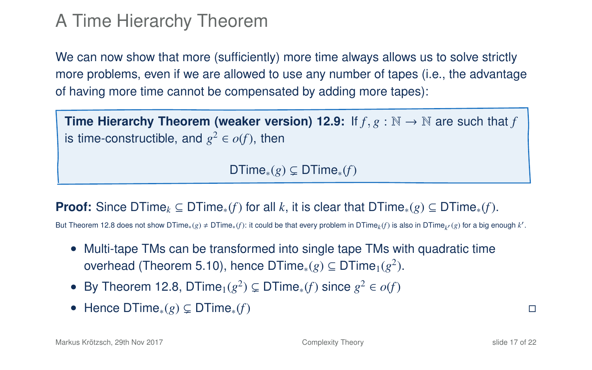#### A Time Hierarchy Theorem

We can now show that more (sufficiently) more time always allows us to solve strictly more problems, even if we are allowed to use any number of tapes (i.e., the advantage of having more time cannot be compensated by adding more tapes):

**Time Hierarchy Theorem (weaker version) 12.9:** If  $f$ ,  $g : \mathbb{N} \to \mathbb{N}$  are such that f is time-constructible, and  $g^2 \in o(f)$ , then

DTime<sub>\*</sub> $(g) \subseteq$  DTime<sub>\*</sub> $(f)$ 

**Proof:** Since DTime<sub>k</sub> ⊆ DTime<sub>\*</sub>(*f*) for all *k*, it is clear that DTime<sub>\*</sub>(*g*) ⊆ DTime<sub>\*</sub>(*f*).

But Theorem 12[.8](#page-24-0) does not show DTime $_*(g) \neq \text{DTime}_*(f)$ : it could be that every problem in DTime $_k f$ ) is also in DTime $_{k'}(g)$  for a big enough  $k'$ .

- Multi-tape TMs can be transformed into single tape TMs with quadratic time overhead (Theorem 5.10), hence DTime $_{\ast}(g)\subseteq {\sf DTime}_{1}(g^{2}).$
- By Theorem 12[.8,](#page-24-0) DTime<sub>1</sub>( $g^2$ )  $\subsetneq$  DTime<sub>\*</sub>(*f*) since  $g^2 \in o(f)$
- Hence DTime∗(*g*) ( DTime∗(*f*)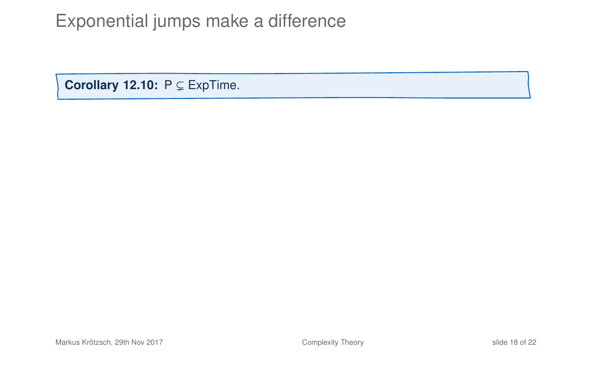**Corollary 12.10:**  $P \subseteq ExpTime$ .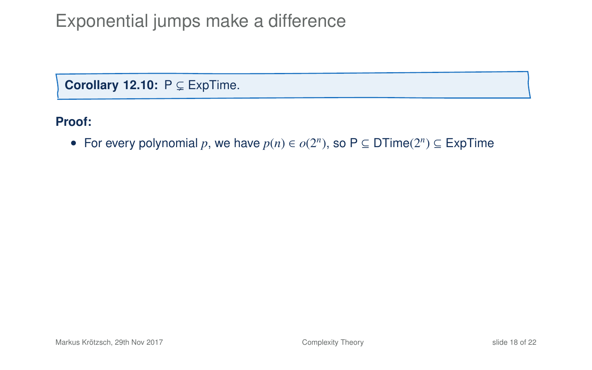**Corollary 12.10:**  $P \subseteq ExpTime$ .

**Proof:**

• For every polynomial *p*, we have  $p(n) \in o(2^n)$ , so P  $\subseteq$  DTime( $2^n$ )  $\subseteq$  ExpTime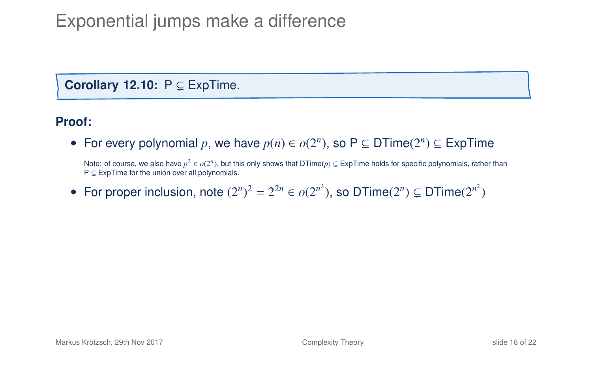**Corollary 12.10:**  $P \subseteq ExpTime$ .

#### **Proof:**

• For every polynomial *p*, we have  $p(n) \in o(2^n)$ , so P  $\subseteq$  DTime( $2^n$ )  $\subseteq$  ExpTime

Note: of course, we also have  $p^2 \in o(2^n)$ , but this only shows that DTime( $p$ )  $\subsetneq$  ExpTime holds for specific polynomials, rather than  $P \subseteq$  ExpTime for the union over all polynomials.

• For proper inclusion, note  $(2^n)^2 = 2^{2n} \in o(2^{n^2})$ , so DTime $(2^n) \subsetneq$  DTime $(2^{n^2})$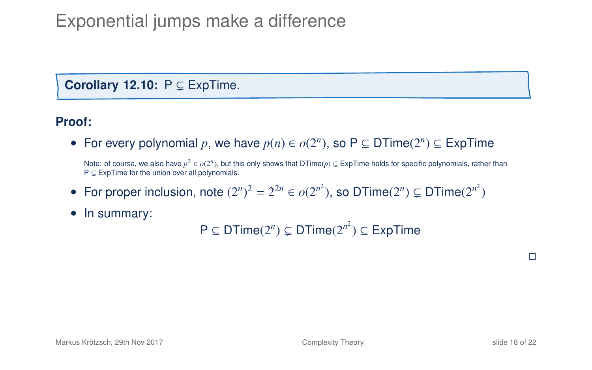#### **Corollary 12.10:**  $P \subseteq ExpTime$ .

#### **Proof:**

• For every polynomial *p*, we have  $p(n) \in o(2^n)$ , so P  $\subseteq$  DTime( $2^n$ )  $\subseteq$  ExpTime

Note: of course, we also have  $p^2 \in o(2^n)$ , but this only shows that DTime( $p$ )  $\subsetneq$  ExpTime holds for specific polynomials, rather than  $P \subseteq$  ExpTime for the union over all polynomials.

- For proper inclusion, note  $(2^n)^2 = 2^{2n} \in o(2^{n^2})$ , so DTime $(2^n) \subsetneq$  DTime $(2^{n^2})$
- In summary:

 $P \subseteq DTime(2^n) \subsetneq DTime(2^{n^2}) \subseteq ExpTime$ 

 $\Box$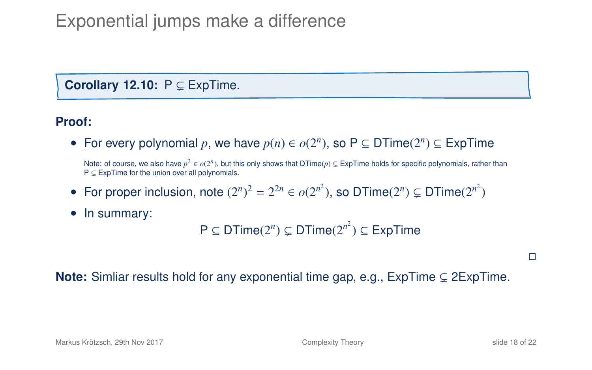#### **Corollary 12.10:**  $P \subseteq ExpTime$ .

#### **Proof:**

• For every polynomial *p*, we have  $p(n) \in o(2^n)$ , so P  $\subseteq$  DTime( $2^n$ )  $\subseteq$  ExpTime

Note: of course, we also have  $p^2 \in o(2^n)$ , but this only shows that DTime( $p$ )  $\subsetneq$  ExpTime holds for specific polynomials, rather than  $P \subseteq ExpTime$  for the union over all polynomials.

- For proper inclusion, note  $(2^n)^2 = 2^{2n} \in o(2^{n^2})$ , so DTime $(2^n) \subsetneq$  DTime $(2^{n^2})$
- In summary:

 $P \subseteq DTime(2^n) \subsetneq DTime(2^{n^2}) \subseteq ExpTime$ 

 $\Box$ 

**Note:** Simliar results hold for any exponential time gap, e.g.,  $ExpTime \subseteq 2ExpTime$ .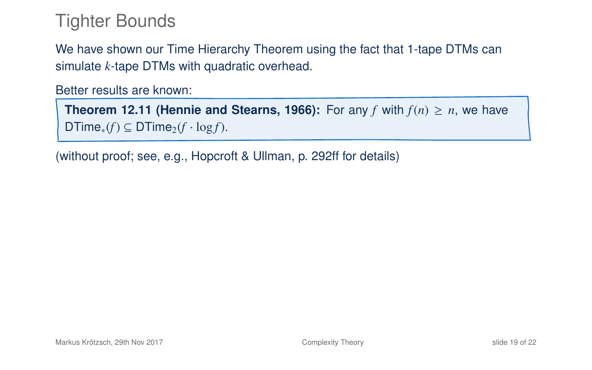#### Tighter Bounds

We have shown our Time Hierarchy Theorem using the fact that 1-tape DTMs can simulate *k*-tape DTMs with quadratic overhead.

Better results are known:

**Theorem 12.11 (Hennie and Stearns, 1966):** For any *f* with  $f(n) \geq n$ , we have  $DTime_*(f) \subseteq DTime_2(f \cdot log f)$ .

(without proof; see, e.g., Hopcroft & Ullman, p. 292ff for details)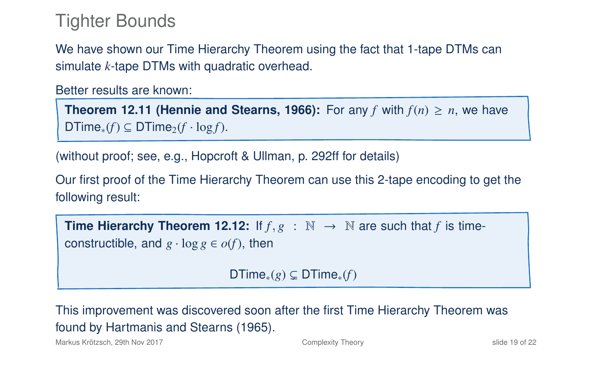#### Tighter Bounds

We have shown our Time Hierarchy Theorem using the fact that 1-tape DTMs can simulate *k*-tape DTMs with quadratic overhead.

Better results are known:

**Theorem 12.11 (Hennie and Stearns, 1966):** For any *f* with  $f(n) \geq n$ , we have  $DTime_*(f) \subseteq DTime_2(f \cdot log f)$ .

(without proof; see, e.g., Hopcroft & Ullman, p. 292ff for details)

Our first proof of the Time Hierarchy Theorem can use this 2-tape encoding to get the following result:

**Time Hierarchy Theorem 12.12:** If  $f, g : \mathbb{N} \to \mathbb{N}$  are such that f is timeconstructible, and  $g \cdot \log g \in o(f)$ , then

DTime<sub>\*</sub> $(g) \subseteq$  DTime<sub>\*</sub> $(f)$ 

This improvement was discovered soon after the first Time Hierarchy Theorem was found by Hartmanis and Stearns (1965).

Markus Krötzsch, 29th Nov 2017 [Complexity Theory](#page-0-0) slide 19 of 22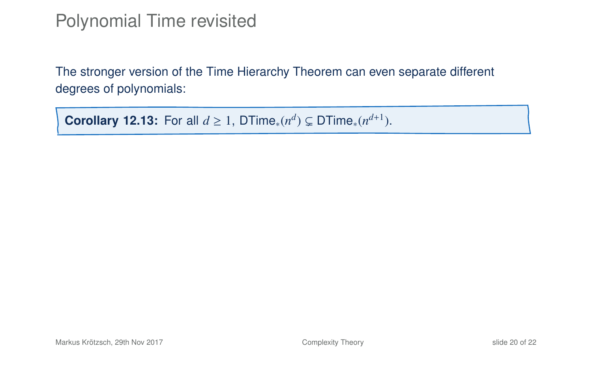#### Polynomial Time revisited

The stronger version of the Time Hierarchy Theorem can even separate different degrees of polynomials:

**Corollary 12.13:** For all  $d \ge 1$ , DTime<sub>\*</sub> $(n^d) \subsetneq$  DTime<sub>\*</sub> $(n^{d+1})$ .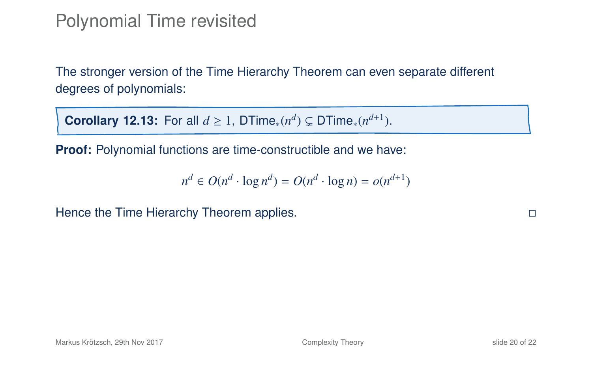#### Polynomial Time revisited

The stronger version of the Time Hierarchy Theorem can even separate different degrees of polynomials:

**Corollary 12.13:** For all  $d \ge 1$ , DTime<sub>\*</sub> $(n^d) \subsetneq$  DTime<sub>\*</sub> $(n^{d+1})$ .

**Proof:** Polynomial functions are time-constructible and we have:

$$
n^d \in O(n^d \cdot \log n^d) = O(n^d \cdot \log n) = o(n^{d+1})
$$

Hence the Time Hierarchy Theorem applies.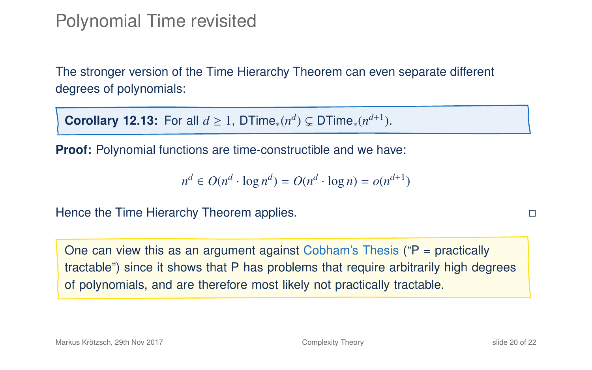#### Polynomial Time revisited

The stronger version of the Time Hierarchy Theorem can even separate different degrees of polynomials:

**Corollary 12.13:** For all  $d \ge 1$ , DTime<sub>\*</sub> $(n^d) \subsetneq$  DTime<sub>\*</sub> $(n^{d+1})$ .

**Proof:** Polynomial functions are time-constructible and we have:

$$
n^d \in O(n^d \cdot \log n^d) = O(n^d \cdot \log n) = o(n^{d+1})
$$

Hence the Time Hierarchy Theorem applies.

One can view this as an argument against Cobham's Thesis ( $P =$  practically tractable") since it shows that P has problems that require arbitrarily high degrees of polynomials, and are therefore most likely not practically tractable.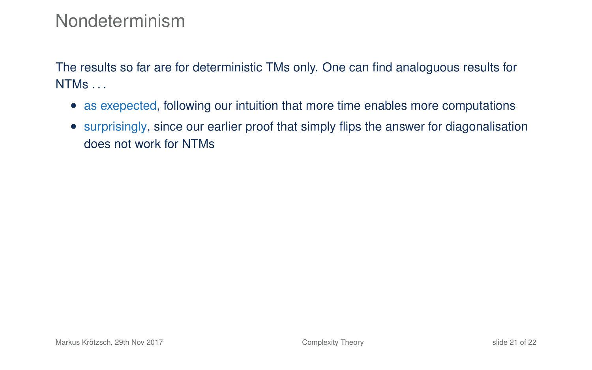#### Nondeterminism

The results so far are for deterministic TMs only. One can find analoguous results for NTMs . . .

- as exepected, following our intuition that more time enables more computations
- surprisingly, since our earlier proof that simply flips the answer for diagonalisation does not work for NTMs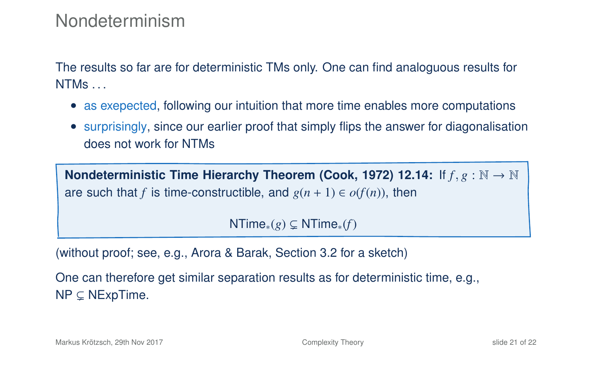#### Nondeterminism

The results so far are for deterministic TMs only. One can find analoguous results for NTMs . . .

- as exepected, following our intuition that more time enables more computations
- surprisingly, since our earlier proof that simply flips the answer for diagonalisation does not work for NTMs

**Nondeterministic Time Hierarchy Theorem (Cook, 1972) 12.14:** If *<sup>f</sup>* , *<sup>g</sup>* : <sup>N</sup> <sup>→</sup> <sup>N</sup> are such that *f* is time-constructible, and  $g(n + 1) \in o(f(n))$ , then

NTime<sub>∗</sub> $(g)$  ⊆ NTime<sub>∗</sub> $(f)$ 

(without proof; see, e.g., Arora & Barak, Section 3.2 for a sketch)

One can therefore get similar separation results as for deterministic time, e.g.,  $NP \subseteq NExpTime$ .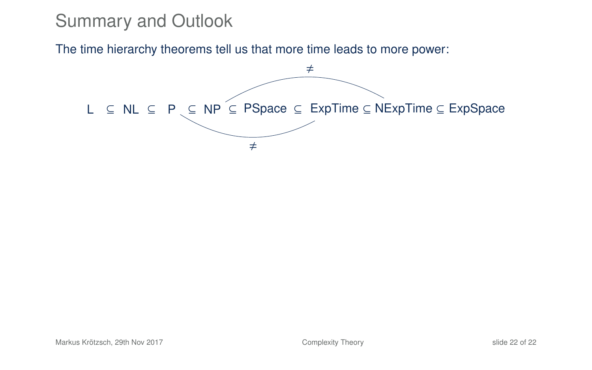The time hierarchy theorems tell us that more time leads to more power:

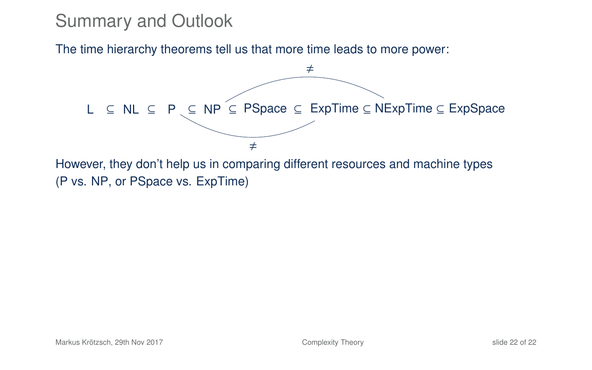The time hierarchy theorems tell us that more time leads to more power:



(P vs. NP, or PSpace vs. ExpTime)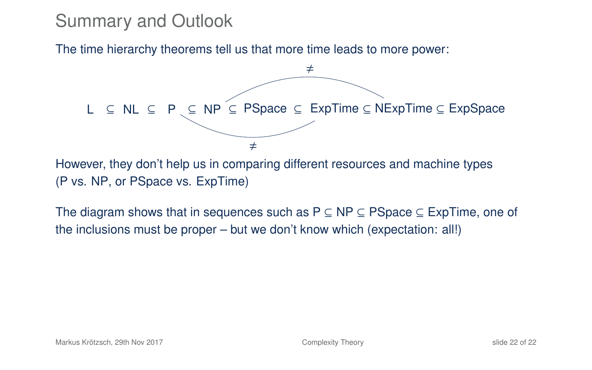The time hierarchy theorems tell us that more time leads to more power:



However, they don't help us in comparing different resources and machine types (P vs. NP, or PSpace vs. ExpTime)

The diagram shows that in sequences such as  $P \subseteq NP \subseteq P$ Space  $\subseteq Exp$ Time, one of the inclusions must be proper – but we don't know which (expectation: all!)